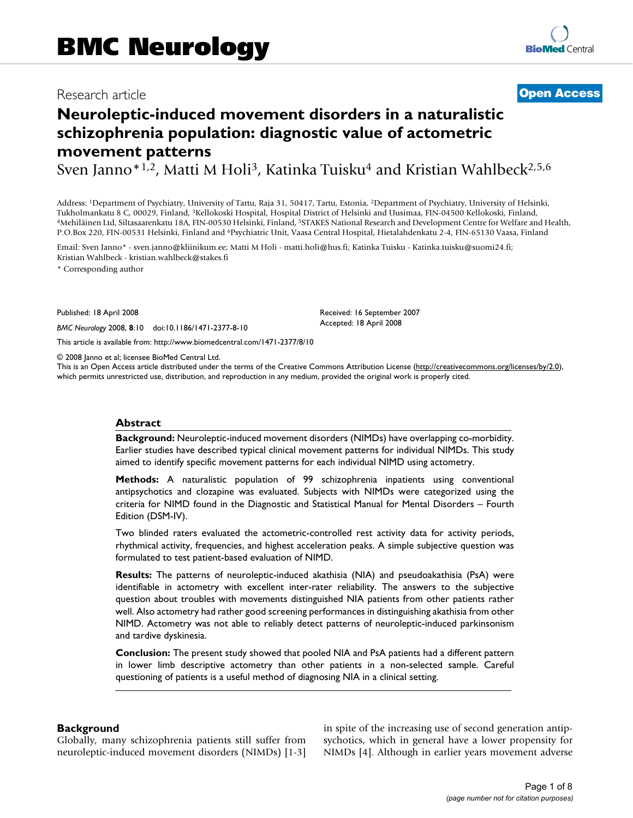# Research article **[Open Access](http://www.biomedcentral.com/info/about/charter/)**

# **Neuroleptic-induced movement disorders in a naturalistic schizophrenia population: diagnostic value of actometric movement patterns**

Sven Janno\*<sup>1,2</sup>, Matti M Holi<sup>3</sup>, Katinka Tuisku<sup>4</sup> and Kristian Wahlbeck<sup>2,5,6</sup>

Address: 1Department of Psychiatry, University of Tartu, Raja 31, 50417, Tartu, Estonia, 2Department of Psychiatry, University of Helsinki, Tukholmankatu 8 C, 00029, Finland, <sup>3</sup>Kellokoski Hospital, Hospital District of Helsinki and Uusimaa, FIN-04500 Kellokoski, Finland,<br><sup>4</sup>Mehiläinen Ltd, Siltasaarenkatu 18A, FIN-00530 Helsinki, Finland, <sup>5</sup>STAKES National R P.O.Box 220, FIN-00531 Helsinki, Finland and 6Psychiatric Unit, Vaasa Central Hospital, Hietalahdenkatu 2-4, FIN-65130 Vaasa, Finland

Email: Sven Janno\* - sven.janno@kliinikum.ee; Matti M Holi - matti.holi@hus.fi; Katinka Tuisku - Katinka.tuisku@suomi24.fi; Kristian Wahlbeck - kristian.wahlbeck@stakes.fi

\* Corresponding author

Published: 18 April 2008

*BMC Neurology* 2008, **8**:10 doi:10.1186/1471-2377-8-10

[This article is available from: http://www.biomedcentral.com/1471-2377/8/10](http://www.biomedcentral.com/1471-2377/8/10)

© 2008 Janno et al; licensee BioMed Central Ltd.

This is an Open Access article distributed under the terms of the Creative Commons Attribution License [\(http://creativecommons.org/licenses/by/2.0\)](http://creativecommons.org/licenses/by/2.0), which permits unrestricted use, distribution, and reproduction in any medium, provided the original work is properly cited.

Received: 16 September 2007 Accepted: 18 April 2008

### **Abstract**

**Background:** Neuroleptic-induced movement disorders (NIMDs) have overlapping co-morbidity. Earlier studies have described typical clinical movement patterns for individual NIMDs. This study aimed to identify specific movement patterns for each individual NIMD using actometry.

**Methods:** A naturalistic population of 99 schizophrenia inpatients using conventional antipsychotics and clozapine was evaluated. Subjects with NIMDs were categorized using the criteria for NIMD found in the Diagnostic and Statistical Manual for Mental Disorders – Fourth Edition (DSM-IV).

Two blinded raters evaluated the actometric-controlled rest activity data for activity periods, rhythmical activity, frequencies, and highest acceleration peaks. A simple subjective question was formulated to test patient-based evaluation of NIMD.

**Results:** The patterns of neuroleptic-induced akathisia (NIA) and pseudoakathisia (PsA) were identifiable in actometry with excellent inter-rater reliability. The answers to the subjective question about troubles with movements distinguished NIA patients from other patients rather well. Also actometry had rather good screening performances in distinguishing akathisia from other NIMD. Actometry was not able to reliably detect patterns of neuroleptic-induced parkinsonism and tardive dyskinesia.

**Conclusion:** The present study showed that pooled NIA and PsA patients had a different pattern in lower limb descriptive actometry than other patients in a non-selected sample. Careful questioning of patients is a useful method of diagnosing NIA in a clinical setting.

### **Background**

Globally, many schizophrenia patients still suffer from neuroleptic-induced movement disorders (NIMDs) [1-3] in spite of the increasing use of second generation antipsychotics, which in general have a lower propensity for NIMDs [4]. Although in earlier years movement adverse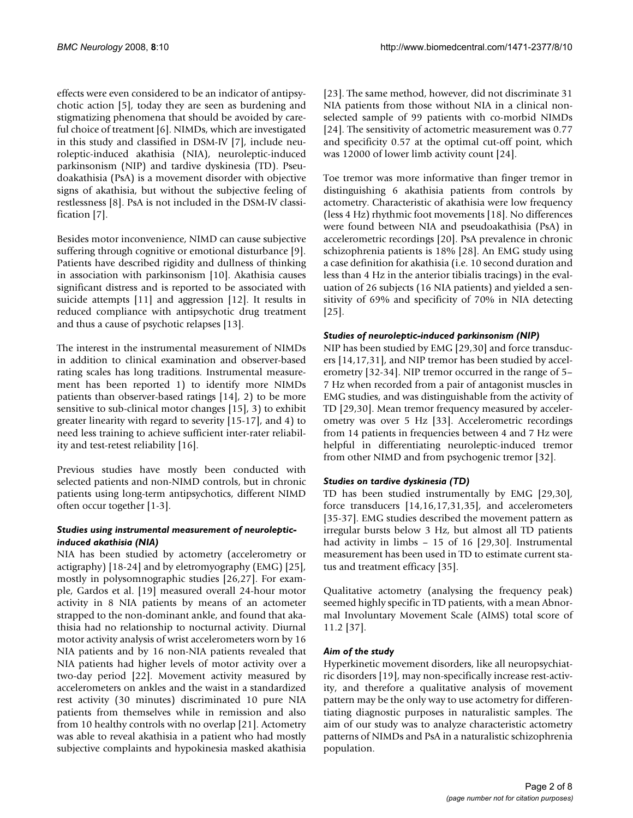effects were even considered to be an indicator of antipsychotic action [5], today they are seen as burdening and stigmatizing phenomena that should be avoided by careful choice of treatment [6]. NIMDs, which are investigated in this study and classified in DSM-IV [7], include neuroleptic-induced akathisia (NIA), neuroleptic-induced parkinsonism (NIP) and tardive dyskinesia (TD). Pseudoakathisia (PsA) is a movement disorder with objective signs of akathisia, but without the subjective feeling of restlessness [8]. PsA is not included in the DSM-IV classification [7].

Besides motor inconvenience, NIMD can cause subjective suffering through cognitive or emotional disturbance [9]. Patients have described rigidity and dullness of thinking in association with parkinsonism [10]. Akathisia causes significant distress and is reported to be associated with suicide attempts [11] and aggression [12]. It results in reduced compliance with antipsychotic drug treatment and thus a cause of psychotic relapses [13].

The interest in the instrumental measurement of NIMDs in addition to clinical examination and observer-based rating scales has long traditions. Instrumental measurement has been reported 1) to identify more NIMDs patients than observer-based ratings [14], 2) to be more sensitive to sub-clinical motor changes [15], 3) to exhibit greater linearity with regard to severity [15-17], and 4) to need less training to achieve sufficient inter-rater reliability and test-retest reliability [16].

Previous studies have mostly been conducted with selected patients and non-NIMD controls, but in chronic patients using long-term antipsychotics, different NIMD often occur together [1-3].

## *Studies using instrumental measurement of neurolepticinduced akathisia (NIA)*

NIA has been studied by actometry (accelerometry or actigraphy) [18-24] and by eletromyography (EMG) [25], mostly in polysomnographic studies [26,27]. For example, Gardos et al. [19] measured overall 24-hour motor activity in 8 NIA patients by means of an actometer strapped to the non-dominant ankle, and found that akathisia had no relationship to nocturnal activity. Diurnal motor activity analysis of wrist accelerometers worn by 16 NIA patients and by 16 non-NIA patients revealed that NIA patients had higher levels of motor activity over a two-day period [22]. Movement activity measured by accelerometers on ankles and the waist in a standardized rest activity (30 minutes) discriminated 10 pure NIA patients from themselves while in remission and also from 10 healthy controls with no overlap [21]. Actometry was able to reveal akathisia in a patient who had mostly subjective complaints and hypokinesia masked akathisia

[23]. The same method, however, did not discriminate 31 NIA patients from those without NIA in a clinical nonselected sample of 99 patients with co-morbid NIMDs [24]. The sensitivity of actometric measurement was 0.77 and specificity 0.57 at the optimal cut-off point, which was 12000 of lower limb activity count [24].

Toe tremor was more informative than finger tremor in distinguishing 6 akathisia patients from controls by actometry. Characteristic of akathisia were low frequency (less 4 Hz) rhythmic foot movements [18]. No differences were found between NIA and pseudoakathisia (PsA) in accelerometric recordings [20]. PsA prevalence in chronic schizophrenia patients is 18% [28]. An EMG study using a case definition for akathisia (i.e. 10 second duration and less than 4 Hz in the anterior tibialis tracings) in the evaluation of 26 subjects (16 NIA patients) and yielded a sensitivity of 69% and specificity of 70% in NIA detecting [25].

## *Studies of neuroleptic-induced parkinsonism (NIP)*

NIP has been studied by EMG [29,30] and force transducers [14,17,31], and NIP tremor has been studied by accelerometry [32-34]. NIP tremor occurred in the range of 5– 7 Hz when recorded from a pair of antagonist muscles in EMG studies, and was distinguishable from the activity of TD [29,30]. Mean tremor frequency measured by accelerometry was over 5 Hz [33]. Accelerometric recordings from 14 patients in frequencies between 4 and 7 Hz were helpful in differentiating neuroleptic-induced tremor from other NIMD and from psychogenic tremor [32].

## *Studies on tardive dyskinesia (TD)*

TD has been studied instrumentally by EMG [29,30], force transducers [14,16,17,31,35], and accelerometers [35-37]. EMG studies described the movement pattern as irregular bursts below 3 Hz, but almost all TD patients had activity in limbs – 15 of 16 [29,30]. Instrumental measurement has been used in TD to estimate current status and treatment efficacy [35].

Qualitative actometry (analysing the frequency peak) seemed highly specific in TD patients, with a mean Abnormal Involuntary Movement Scale (AIMS) total score of 11.2 [37].

### *Aim of the study*

Hyperkinetic movement disorders, like all neuropsychiatric disorders [19], may non-specifically increase rest-activity, and therefore a qualitative analysis of movement pattern may be the only way to use actometry for differentiating diagnostic purposes in naturalistic samples. The aim of our study was to analyze characteristic actometry patterns of NIMDs and PsA in a naturalistic schizophrenia population.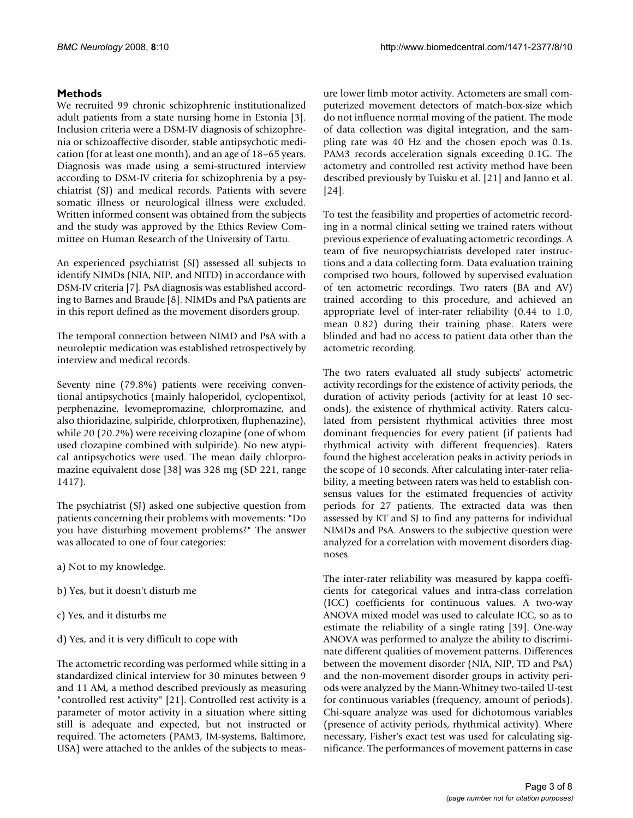## **Methods**

We recruited 99 chronic schizophrenic institutionalized adult patients from a state nursing home in Estonia [3]. Inclusion criteria were a DSM-IV diagnosis of schizophrenia or schizoaffective disorder, stable antipsychotic medication (for at least one month), and an age of 18–65 years. Diagnosis was made using a semi-structured interview according to DSM-IV criteria for schizophrenia by a psychiatrist (SJ) and medical records. Patients with severe somatic illness or neurological illness were excluded. Written informed consent was obtained from the subjects and the study was approved by the Ethics Review Committee on Human Research of the University of Tartu.

An experienced psychiatrist (SJ) assessed all subjects to identify NIMDs (NIA, NIP, and NITD) in accordance with DSM-IV criteria [7]. PsA diagnosis was established according to Barnes and Braude [8]. NIMDs and PsA patients are in this report defined as the movement disorders group.

The temporal connection between NIMD and PsA with a neuroleptic medication was established retrospectively by interview and medical records.

Seventy nine (79.8%) patients were receiving conventional antipsychotics (mainly haloperidol, cyclopentixol, perphenazine, levomepromazine, chlorpromazine, and also thioridazine, sulpiride, chlorprotixen, fluphenazine), while 20 (20.2%) were receiving clozapine (one of whom used clozapine combined with sulpiride). No new atypical antipsychotics were used. The mean daily chlorpromazine equivalent dose [38] was 328 mg (SD 221, range 1417).

The psychiatrist (SJ) asked one subjective question from patients concerning their problems with movements: "Do you have disturbing movement problems?" The answer was allocated to one of four categories:

- a) Not to my knowledge.
- b) Yes, but it doesn't disturb me
- c) Yes, and it disturbs me
- d) Yes, and it is very difficult to cope with

The actometric recording was performed while sitting in a standardized clinical interview for 30 minutes between 9 and 11 AM, a method described previously as measuring "controlled rest activity" [21]. Controlled rest activity is a parameter of motor activity in a situation where sitting still is adequate and expected, but not instructed or required. The actometers (PAM3, IM-systems, Baltimore, USA) were attached to the ankles of the subjects to measure lower limb motor activity. Actometers are small computerized movement detectors of match-box-size which do not influence normal moving of the patient. The mode of data collection was digital integration, and the sampling rate was 40 Hz and the chosen epoch was 0.1s. PAM3 records acceleration signals exceeding 0.1G. The actometry and controlled rest activity method have been described previously by Tuisku et al. [21] and Janno et al.  $[24]$ .

To test the feasibility and properties of actometric recording in a normal clinical setting we trained raters without previous experience of evaluating actometric recordings. A team of five neuropsychiatrists developed rater instructions and a data collecting form. Data evaluation training comprised two hours, followed by supervised evaluation of ten actometric recordings. Two raters (BA and AV) trained according to this procedure, and achieved an appropriate level of inter-rater reliability (0.44 to 1.0, mean 0.82) during their training phase. Raters were blinded and had no access to patient data other than the actometric recording.

The two raters evaluated all study subjects' actometric activity recordings for the existence of activity periods, the duration of activity periods (activity for at least 10 seconds), the existence of rhythmical activity. Raters calculated from persistent rhythmical activities three most dominant frequencies for every patient (if patients had rhythmical activity with different frequencies). Raters found the highest acceleration peaks in activity periods in the scope of 10 seconds. After calculating inter-rater reliability, a meeting between raters was held to establish consensus values for the estimated frequencies of activity periods for 27 patients. The extracted data was then assessed by KT and SJ to find any patterns for individual NIMDs and PsA. Answers to the subjective question were analyzed for a correlation with movement disorders diagnoses.

The inter-rater reliability was measured by kappa coefficients for categorical values and intra-class correlation (ICC) coefficients for continuous values. A two-way ANOVA mixed model was used to calculate ICC, so as to estimate the reliability of a single rating [39]. One-way ANOVA was performed to analyze the ability to discriminate different qualities of movement patterns. Differences between the movement disorder (NIA, NIP, TD and PsA) and the non-movement disorder groups in activity periods were analyzed by the Mann-Whitney two-tailed U-test for continuous variables (frequency, amount of periods). Chi-square analyze was used for dichotomous variables (presence of activity periods, rhythmical activity). Where necessary, Fisher's exact test was used for calculating significance. The performances of movement patterns in case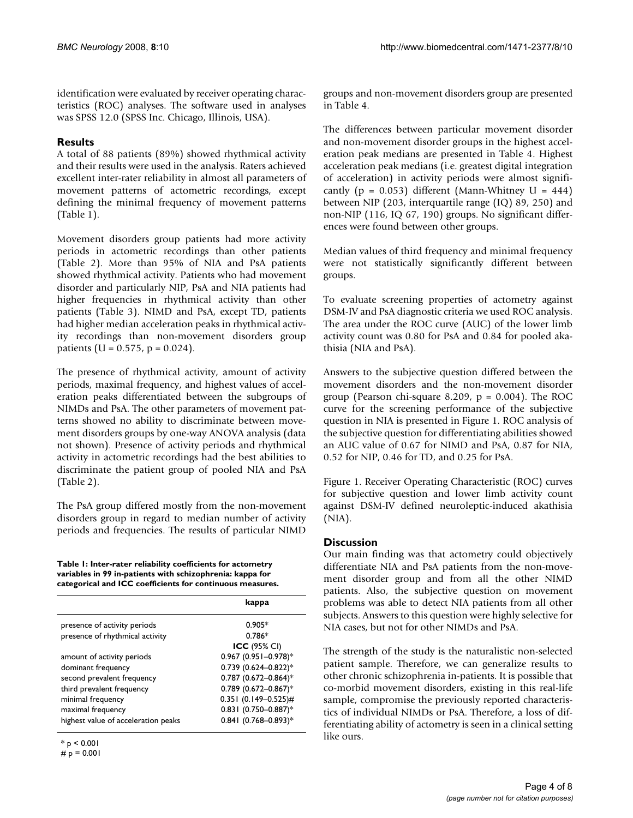identification were evaluated by receiver operating characteristics (ROC) analyses. The software used in analyses was SPSS 12.0 (SPSS Inc. Chicago, Illinois, USA).

## **Results**

A total of 88 patients (89%) showed rhythmical activity and their results were used in the analysis. Raters achieved excellent inter-rater reliability in almost all parameters of movement patterns of actometric recordings, except defining the minimal frequency of movement patterns (Table 1).

Movement disorders group patients had more activity periods in actometric recordings than other patients (Table 2). More than 95% of NIA and PsA patients showed rhythmical activity. Patients who had movement disorder and particularly NIP, PsA and NIA patients had higher frequencies in rhythmical activity than other patients (Table 3). NIMD and PsA, except TD, patients had higher median acceleration peaks in rhythmical activity recordings than non-movement disorders group patients ( $U = 0.575$ ,  $p = 0.024$ ).

The presence of rhythmical activity, amount of activity periods, maximal frequency, and highest values of acceleration peaks differentiated between the subgroups of NIMDs and PsA. The other parameters of movement patterns showed no ability to discriminate between movement disorders groups by one-way ANOVA analysis (data not shown). Presence of activity periods and rhythmical activity in actometric recordings had the best abilities to discriminate the patient group of pooled NIA and PsA (Table 2).

The PsA group differed mostly from the non-movement disorders group in regard to median number of activity periods and frequencies. The results of particular NIMD

**Table 1: Inter-rater reliability coefficients for actometry variables in 99 in-patients with schizophrenia: kappa for categorical and ICC coefficients for continuous measures.**

|                                     | kappa                              |
|-------------------------------------|------------------------------------|
| presence of activity periods        | $0.905*$                           |
| presence of rhythmical activity     | $0.786*$                           |
|                                     | ICC $(95%$ CI)                     |
| amount of activity periods          | $0.967$ (0.951-0.978)*             |
| dominant frequency                  | $0.739$ (0.624-0.822)*             |
| second prevalent frequency          | $0.787$ (0.672-0.864)*             |
| third prevalent frequency           | $0.789$ (0.672-0.867)*             |
| minimal frequency                   | $0.351(0.149-0.525)\#$             |
| maximal frequency                   | $0.831$ (0.750-0.887) <sup>*</sup> |
| highest value of acceleration peaks | $0.841$ (0.768-0.893)*             |

 $*$  p < 0.001

 $# p = 0.001$ 

groups and non-movement disorders group are presented in Table 4.

The differences between particular movement disorder and non-movement disorder groups in the highest acceleration peak medians are presented in Table 4. Highest acceleration peak medians (i.e. greatest digital integration of acceleration) in activity periods were almost significantly ( $p = 0.053$ ) different (Mann-Whitney U = 444) between NIP (203, interquartile range (IQ) 89, 250) and non-NIP (116, IQ 67, 190) groups. No significant differences were found between other groups.

Median values of third frequency and minimal frequency were not statistically significantly different between groups.

To evaluate screening properties of actometry against DSM-IV and PsA diagnostic criteria we used ROC analysis. The area under the ROC curve (AUC) of the lower limb activity count was 0.80 for PsA and 0.84 for pooled akathisia (NIA and PsA).

Answers to the subjective question differed between the movement disorders and the non-movement disorder group (Pearson chi-square 8.209,  $p = 0.004$ ). The ROC curve for the screening performance of the subjective question in NIA is presented in Figure 1. ROC analysis of the subjective question for differentiating abilities showed an AUC value of 0.67 for NIMD and PsA, 0.87 for NIA, 0.52 for NIP, 0.46 for TD, and 0.25 for PsA.

Figure 1. Receiver Operating Characteristic (ROC) curves for subjective question and lower limb activity count against DSM-IV defined neuroleptic-induced akathisia (NIA).

## **Discussion**

Our main finding was that actometry could objectively differentiate NIA and PsA patients from the non-movement disorder group and from all the other NIMD patients. Also, the subjective question on movement problems was able to detect NIA patients from all other subjects. Answers to this question were highly selective for NIA cases, but not for other NIMDs and PsA.

The strength of the study is the naturalistic non-selected patient sample. Therefore, we can generalize results to other chronic schizophrenia in-patients. It is possible that co-morbid movement disorders, existing in this real-life sample, compromise the previously reported characteristics of individual NIMDs or PsA. Therefore, a loss of differentiating ability of actometry is seen in a clinical setting like ours.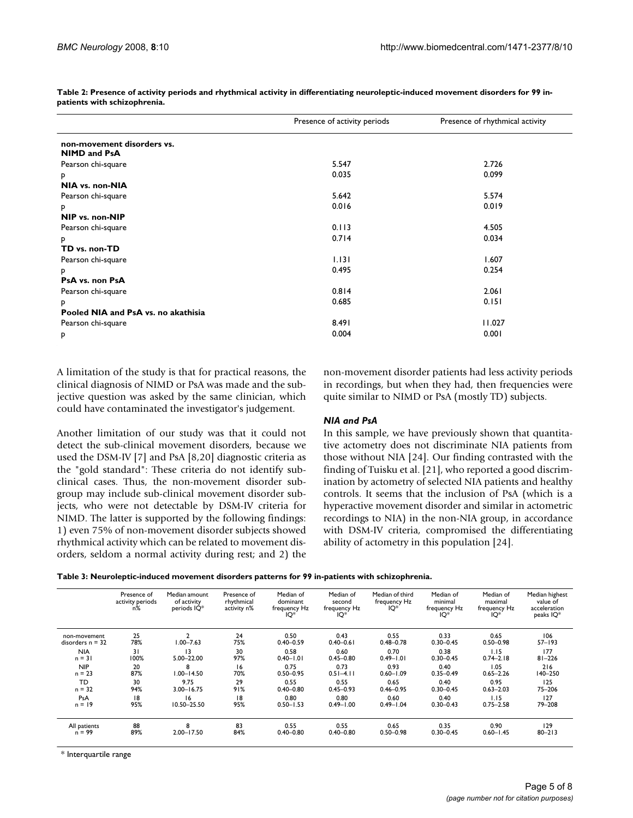|                                     | Presence of activity periods | Presence of rhythmical activity |
|-------------------------------------|------------------------------|---------------------------------|
| non-movement disorders vs.          |                              |                                 |
| <b>NIMD and PsA</b>                 |                              |                                 |
| Pearson chi-square                  | 5.547                        | 2.726                           |
| P                                   | 0.035                        | 0.099                           |
| NIA vs. non-NIA                     |                              |                                 |
| Pearson chi-square                  | 5.642                        | 5.574                           |
| P                                   | 0.016                        | 0.019                           |
| NIP vs. non-NIP                     |                              |                                 |
| Pearson chi-square                  | 0.113                        | 4.505                           |
| P                                   | 0.714                        | 0.034                           |
| TD vs. non-TD                       |                              |                                 |
| Pearson chi-square                  | 1.131                        | 1.607                           |
| P                                   | 0.495                        | 0.254                           |
| PsA vs. non PsA                     |                              |                                 |
| Pearson chi-square                  | 0.814                        | 2.061                           |
| p                                   | 0.685                        | 0.151                           |
| Pooled NIA and PsA vs. no akathisia |                              |                                 |
| Pearson chi-square                  | 8.491                        | 11.027                          |
| P                                   | 0.004                        | 0.001                           |

**Table 2: Presence of activity periods and rhythmical activity in differentiating neuroleptic-induced movement disorders for 99 inpatients with schizophrenia.**

A limitation of the study is that for practical reasons, the clinical diagnosis of NIMD or PsA was made and the subjective question was asked by the same clinician, which could have contaminated the investigator's judgement.

Another limitation of our study was that it could not detect the sub-clinical movement disorders, because we used the DSM-IV [7] and PsA [8,20] diagnostic criteria as the "gold standard": These criteria do not identify subclinical cases. Thus, the non-movement disorder subgroup may include sub-clinical movement disorder subjects, who were not detectable by DSM-IV criteria for NIMD. The latter is supported by the following findings: 1) even 75% of non-movement disorder subjects showed rhythmical activity which can be related to movement disorders, seldom a normal activity during rest; and 2) the non-movement disorder patients had less activity periods in recordings, but when they had, then frequencies were quite similar to NIMD or PsA (mostly TD) subjects.

## *NIA and PsA*

In this sample, we have previously shown that quantitative actometry does not discriminate NIA patients from those without NIA [24]. Our finding contrasted with the finding of Tuisku et al. [21], who reported a good discrimination by actometry of selected NIA patients and healthy controls. It seems that the inclusion of PsA (which is a hyperactive movement disorder and similar in actometric recordings to NIA) in the non-NIA group, in accordance with DSM-IV criteria, compromised the differentiating ability of actometry in this population [24].

**Table 3: Neuroleptic-induced movement disorders patterns for 99 in-patients with schizophrenia.**

|                    | Presence of<br>activity periods<br>n% | Median amount<br>of activity<br>periods IQ* | Presence of<br>rhythmical<br>activity n% | Median of<br>dominant<br>frequency Hz<br>IQ* | Median of<br>second<br>frequency Hz<br>IQ* | Median of third<br>frequency Hz<br>IQ* | Median of<br>minimal<br>frequency Hz<br>IQ* | Median of<br>maximal<br>frequency Hz<br>IQ* | Median highest<br>value of<br>acceleration<br>peaks IQ* |
|--------------------|---------------------------------------|---------------------------------------------|------------------------------------------|----------------------------------------------|--------------------------------------------|----------------------------------------|---------------------------------------------|---------------------------------------------|---------------------------------------------------------|
| non-movement       | 25                                    | $\mathcal{P}$                               | 24                                       | 0.50                                         | 0.43                                       | 0.55                                   | 0.33                                        | 0.65                                        | 106                                                     |
| disorders $n = 32$ | 78%                                   | $.00 - 7.63$                                | 75%                                      | $0.40 - 0.59$                                | $0.40 - 0.61$                              | $0.48 - 0.78$                          | $0.30 - 0.45$                               | $0.50 - 0.98$                               | $57 - 193$                                              |
| <b>NIA</b>         | $\overline{3}1$                       | 13                                          | 30                                       | 0.58                                         | 0.60                                       | 0.70                                   | 0.38                                        | 1.15                                        | 177                                                     |
| $n = 31$           | 100%                                  | 5.00-22.00                                  | 97%                                      | $0.40 - 1.01$                                | $0.45 - 0.80$                              | $0.49 - 1.01$                          | $0.30 - 0.45$                               | $0.74 - 2.18$                               | $81 - 226$                                              |
| <b>NIP</b>         | 20                                    | 8                                           | 16                                       | 0.75                                         | 0.73                                       | 0.93                                   | 0.40                                        | 1.05                                        | 216                                                     |
| $n = 23$           | 87%                                   | $1.00 - 14.50$                              | 70%                                      | $0.50 - 0.95$                                | $0.51 - 4.11$                              | $0.60 - 1.09$                          | $0.35 - 0.49$                               | $0.65 - 2.26$                               | 140-250                                                 |
| TD                 | 30                                    | 9.75                                        | 29                                       | 0.55                                         | 0.55                                       | 0.65                                   | 0.40                                        | 0.95                                        | 125                                                     |
| $n = 32$           | 94%                                   | $3.00 - 16.75$                              | 91%                                      | $0.40 - 0.80$                                | $0.45 - 0.93$                              | $0.46 - 0.95$                          | $0.30 - 0.45$                               | $0.63 - 2.03$                               | 75-206                                                  |
| PsA                | 8                                     | 16                                          | 18                                       | 0.80                                         | 0.80                                       | 0.60                                   | 0.40                                        | 1.15                                        | 127                                                     |
| $n = 19$           | 95%                                   | 10.50-25.50                                 | 95%                                      | $0.50 - 1.53$                                | $0.49 - 1.00$                              | $0.49 - 1.04$                          | $0.30 - 0.43$                               | $0.75 - 2.58$                               | 79-208                                                  |
| All patients       | 88                                    | 8                                           | 83                                       | 0.55                                         | 0.55                                       | 0.65                                   | 0.35                                        | 0.90                                        | 129                                                     |
| $n = 99$           | 89%                                   | $2.00 - 17.50$                              | 84%                                      | $0.40 - 0.80$                                | $0.40 - 0.80$                              | $0.50 - 0.98$                          | $0.30 - 0.45$                               | $0.60 - 1.45$                               | $80 - 213$                                              |

\* Interquartile range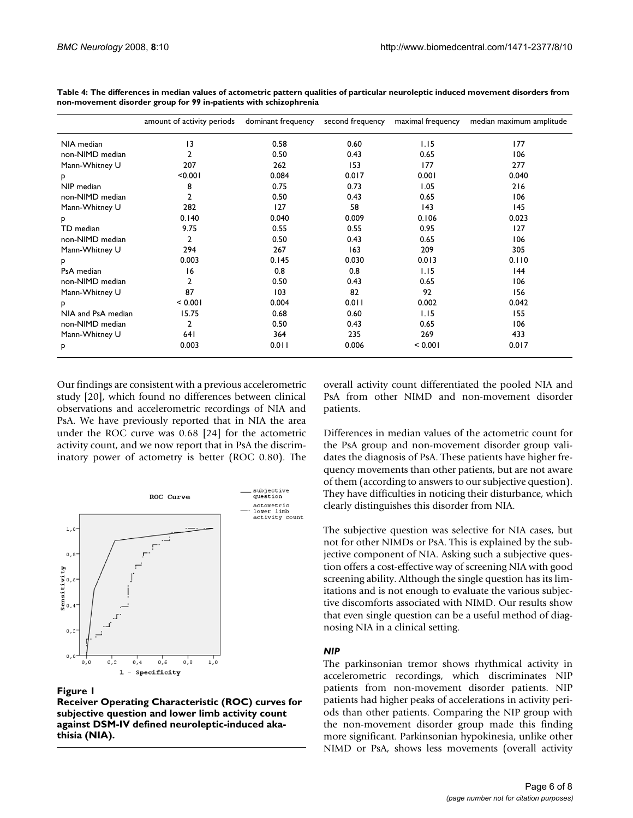|                    | amount of activity periods | dominant frequency | second frequency | maximal frequency | median maximum amplitude |
|--------------------|----------------------------|--------------------|------------------|-------------------|--------------------------|
| NIA median         | 13                         | 0.58               | 0.60             | 1.15              | 177                      |
| non-NIMD median    | 2                          | 0.50               | 0.43             | 0.65              | 106                      |
| Mann-Whitney U     | 207                        | 262                | 153              | 177               | 277                      |
| P                  | < 0.001                    | 0.084              | 0.017            | 0.001             | 0.040                    |
| NIP median         | 8                          | 0.75               | 0.73             | 1.05              | 216                      |
| non-NIMD median    | 2                          | 0.50               | 0.43             | 0.65              | 106                      |
| Mann-Whitney U     | 282                        | 127                | 58               | 143               | 145                      |
| P                  | 0.140                      | 0.040              | 0.009            | 0.106             | 0.023                    |
| TD median          | 9.75                       | 0.55               | 0.55             | 0.95              | 127                      |
| non-NIMD median    | $\mathbf{2}$               | 0.50               | 0.43             | 0.65              | 106                      |
| Mann-Whitney U     | 294                        | 267                | 163              | 209               | 305                      |
| P                  | 0.003                      | 0.145              | 0.030            | 0.013             | 0.110                    |
| PsA median         | 16                         | 0.8                | 0.8              | 1.15              | 144                      |
| non-NIMD median    | 2                          | 0.50               | 0.43             | 0.65              | 106                      |
| Mann-Whitney U     | 87                         | 103                | 82               | 92                | 156                      |
| P                  | < 0.001                    | 0.004              | 0.011            | 0.002             | 0.042                    |
| NIA and PsA median | 15.75                      | 0.68               | 0.60             | 1.15              | 155                      |
| non-NIMD median    | 2                          | 0.50               | 0.43             | 0.65              | 106                      |
| Mann-Whitney U     | 64 I                       | 364                | 235              | 269               | 433                      |
| P                  | 0.003                      | 0.011              | 0.006            | < 0.001           | 0.017                    |

**Table 4: The differences in median values of actometric pattern qualities of particular neuroleptic induced movement disorders from non-movement disorder group for 99 in-patients with schizophrenia**

Our findings are consistent with a previous accelerometric study [20], which found no differences between clinical observations and accelerometric recordings of NIA and PsA. We have previously reported that in NIA the area under the ROC curve was 0.68 [24] for the actometric activity count, and we now report that in PsA the discriminatory power of actometry is better (ROC 0.80). The



### Figure I

**Receiver Operating Characteristic (ROC) curves for subjective question and lower limb activity count against DSM-IV defined neuroleptic-induced akathisia (NIA).**

overall activity count differentiated the pooled NIA and PsA from other NIMD and non-movement disorder patients.

Differences in median values of the actometric count for the PsA group and non-movement disorder group validates the diagnosis of PsA. These patients have higher frequency movements than other patients, but are not aware of them (according to answers to our subjective question). They have difficulties in noticing their disturbance, which clearly distinguishes this disorder from NIA.

The subjective question was selective for NIA cases, but not for other NIMDs or PsA. This is explained by the subjective component of NIA. Asking such a subjective question offers a cost-effective way of screening NIA with good screening ability. Although the single question has its limitations and is not enough to evaluate the various subjective discomforts associated with NIMD. Our results show that even single question can be a useful method of diagnosing NIA in a clinical setting.

## *NIP*

The parkinsonian tremor shows rhythmical activity in accelerometric recordings, which discriminates NIP patients from non-movement disorder patients. NIP patients had higher peaks of accelerations in activity periods than other patients. Comparing the NIP group with the non-movement disorder group made this finding more significant. Parkinsonian hypokinesia, unlike other NIMD or PsA, shows less movements (overall activity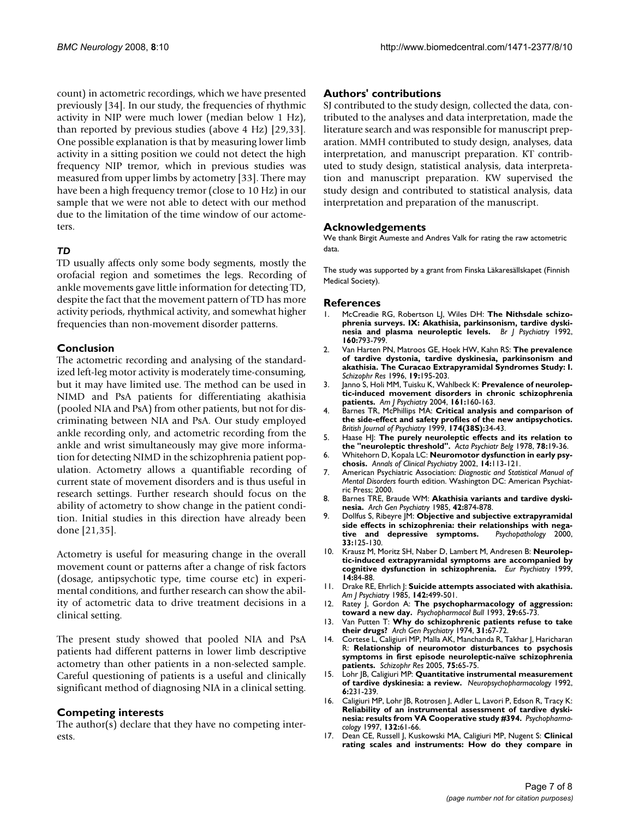count) in actometric recordings, which we have presented previously [34]. In our study, the frequencies of rhythmic activity in NIP were much lower (median below 1 Hz), than reported by previous studies (above 4 Hz) [29,33]. One possible explanation is that by measuring lower limb activity in a sitting position we could not detect the high frequency NIP tremor, which in previous studies was measured from upper limbs by actometry [33]. There may have been a high frequency tremor (close to 10 Hz) in our sample that we were not able to detect with our method due to the limitation of the time window of our actometers.

## *TD*

TD usually affects only some body segments, mostly the orofacial region and sometimes the legs. Recording of ankle movements gave little information for detecting TD, despite the fact that the movement pattern of TD has more activity periods, rhythmical activity, and somewhat higher frequencies than non-movement disorder patterns.

## **Conclusion**

The actometric recording and analysing of the standardized left-leg motor activity is moderately time-consuming, but it may have limited use. The method can be used in NIMD and PsA patients for differentiating akathisia (pooled NIA and PsA) from other patients, but not for discriminating between NIA and PsA. Our study employed ankle recording only, and actometric recording from the ankle and wrist simultaneously may give more information for detecting NIMD in the schizophrenia patient population. Actometry allows a quantifiable recording of current state of movement disorders and is thus useful in research settings. Further research should focus on the ability of actometry to show change in the patient condition. Initial studies in this direction have already been done [21,35].

Actometry is useful for measuring change in the overall movement count or patterns after a change of risk factors (dosage, antipsychotic type, time course etc) in experimental conditions, and further research can show the ability of actometric data to drive treatment decisions in a clinical setting.

The present study showed that pooled NIA and PsA patients had different patterns in lower limb descriptive actometry than other patients in a non-selected sample. Careful questioning of patients is a useful and clinically significant method of diagnosing NIA in a clinical setting.

### **Competing interests**

The author(s) declare that they have no competing interests.

## **Authors' contributions**

SJ contributed to the study design, collected the data, contributed to the analyses and data interpretation, made the literature search and was responsible for manuscript preparation. MMH contributed to study design, analyses, data interpretation, and manuscript preparation. KT contributed to study design, statistical analysis, data interpretation and manuscript preparation. KW supervised the study design and contributed to statistical analysis, data interpretation and preparation of the manuscript.

### **Acknowledgements**

We thank Birgit Aumeste and Andres Valk for rating the raw actometric data.

The study was supported by a grant from Finska Läkaresällskapet (Finnish Medical Society).

#### **References**

- McCreadie RG, Robertson LJ, Wiles DH: [The Nithsdale schizo](http://www.ncbi.nlm.nih.gov/entrez/query.fcgi?cmd=Retrieve&db=PubMed&dopt=Abstract&list_uids=1352165)**[phrenia surveys. IX: Akathisia, parkinsonism, tardive dyski](http://www.ncbi.nlm.nih.gov/entrez/query.fcgi?cmd=Retrieve&db=PubMed&dopt=Abstract&list_uids=1352165)[nesia and plasma neuroleptic levels.](http://www.ncbi.nlm.nih.gov/entrez/query.fcgi?cmd=Retrieve&db=PubMed&dopt=Abstract&list_uids=1352165)** *Br J Psychiatry* 1992, **160:**793-799.
- 2. Van Harten PN, Matroos GE, Hoek HW, Kahn RS: **[The prevalence](http://www.ncbi.nlm.nih.gov/entrez/query.fcgi?cmd=Retrieve&db=PubMed&dopt=Abstract&list_uids=8789918) of tardive dystonia, tardive dyskinesia, parkinsonism and [akathisia. The Curacao Extrapyramidal Syndromes Study: I.](http://www.ncbi.nlm.nih.gov/entrez/query.fcgi?cmd=Retrieve&db=PubMed&dopt=Abstract&list_uids=8789918)** *Schizophr Res* 1996, **19:**195-203.
- 3. Janno S, Holi MM, Tuisku K, Wahlbeck K: **[Prevalence of neurolep](http://www.ncbi.nlm.nih.gov/entrez/query.fcgi?cmd=Retrieve&db=PubMed&dopt=Abstract&list_uids=14702266)[tic-induced movement disorders in chronic schizophrenia](http://www.ncbi.nlm.nih.gov/entrez/query.fcgi?cmd=Retrieve&db=PubMed&dopt=Abstract&list_uids=14702266) [patients.](http://www.ncbi.nlm.nih.gov/entrez/query.fcgi?cmd=Retrieve&db=PubMed&dopt=Abstract&list_uids=14702266)** *Am J Psychiatry* 2004, **161:**160-163.
- 4. Barnes TR, McPhillips MA: **[Critical analysis and comparison of](http://www.ncbi.nlm.nih.gov/entrez/query.fcgi?cmd=Retrieve&db=PubMed&dopt=Abstract&list_uids=10884898) [the side-effect and safety profiles of the new antipsychotics.](http://www.ncbi.nlm.nih.gov/entrez/query.fcgi?cmd=Retrieve&db=PubMed&dopt=Abstract&list_uids=10884898)** *British Journal of Psychiatry* 1999, **174(38S):**34-43.
- 5. Haase HJ: **[The purely neuroleptic effects and its relation to](http://www.ncbi.nlm.nih.gov/entrez/query.fcgi?cmd=Retrieve&db=PubMed&dopt=Abstract&list_uids=645405) [the "neuroleptic threshold".](http://www.ncbi.nlm.nih.gov/entrez/query.fcgi?cmd=Retrieve&db=PubMed&dopt=Abstract&list_uids=645405)** *Acta Psychiatr Belg* 1978, **78:**19-36.
- 6. Whitehorn D, Kopala LC: **[Neuromotor dysfunction in early psy](http://www.ncbi.nlm.nih.gov/entrez/query.fcgi?cmd=Retrieve&db=PubMed&dopt=Abstract&list_uids=12238736)[chosis.](http://www.ncbi.nlm.nih.gov/entrez/query.fcgi?cmd=Retrieve&db=PubMed&dopt=Abstract&list_uids=12238736)** *Annals of Clinical Psychiatry* 2002, **14:**113-121.
- 7. American Psychiatric Association: *Diagnostic and Statistical Manual of Mental Disorders* fourth edition. Washington DC: American Psychiatric Press; 2000.
- 8. Barnes TRE, Braude WM: **[Akathisia variants and tardive dyski](http://www.ncbi.nlm.nih.gov/entrez/query.fcgi?cmd=Retrieve&db=PubMed&dopt=Abstract&list_uids=2864031)[nesia.](http://www.ncbi.nlm.nih.gov/entrez/query.fcgi?cmd=Retrieve&db=PubMed&dopt=Abstract&list_uids=2864031)** *Arch Gen Psychiatry* 1985, **42:**874-878.
- 9. Dollfus S, Ribeyre JM: **[Objective and subjective extrapyramidal](http://www.ncbi.nlm.nih.gov/entrez/query.fcgi?cmd=Retrieve&db=PubMed&dopt=Abstract&list_uids=10773770)** side effects in schizophrenia: their relationships with nega-<br>tive and depressive symptoms. Psychopathology 2000, [tive and depressive symptoms.](http://www.ncbi.nlm.nih.gov/entrez/query.fcgi?cmd=Retrieve&db=PubMed&dopt=Abstract&list_uids=10773770) **33:**125-130.
- 10. Krausz M, Moritz SH, Naber D, Lambert M, Andresen B: **[Neurolep](http://www.ncbi.nlm.nih.gov/entrez/query.fcgi?cmd=Retrieve&db=PubMed&dopt=Abstract&list_uids=10572331)[tic-induced extrapyramidal symptoms are accompanied by](http://www.ncbi.nlm.nih.gov/entrez/query.fcgi?cmd=Retrieve&db=PubMed&dopt=Abstract&list_uids=10572331) [cognitive dysfunction in schizophrenia.](http://www.ncbi.nlm.nih.gov/entrez/query.fcgi?cmd=Retrieve&db=PubMed&dopt=Abstract&list_uids=10572331)** *Eur Psychiatry* 1999, **14:**84-88.
- 11. Drake RE, Ehrlich J: **[Suicide attempts associated with akathisia.](http://www.ncbi.nlm.nih.gov/entrez/query.fcgi?cmd=Retrieve&db=PubMed&dopt=Abstract&list_uids=3976927)** *Am J Psychiatry* 1985, **142:**499-501.
- 12. Ratey J, Gordon A: **[The psychopharmacology of aggression:](http://www.ncbi.nlm.nih.gov/entrez/query.fcgi?cmd=Retrieve&db=PubMed&dopt=Abstract&list_uids=8378514) [toward a new day.](http://www.ncbi.nlm.nih.gov/entrez/query.fcgi?cmd=Retrieve&db=PubMed&dopt=Abstract&list_uids=8378514)** *Psychopharmacol Bull* 1993, **29:**65-73.
- 13. Van Putten T: **[Why do schizophrenic patients refuse to take](http://www.ncbi.nlm.nih.gov/entrez/query.fcgi?cmd=Retrieve&db=PubMed&dopt=Abstract&list_uids=4151750) [their drugs?](http://www.ncbi.nlm.nih.gov/entrez/query.fcgi?cmd=Retrieve&db=PubMed&dopt=Abstract&list_uids=4151750)** *Arch Gen Psychiatry* 1974, **31:**67-72.
- 14. Cortese L, Caligiuri MP, Malla AK, Manchanda R, Takhar J, Haricharan R: **[Relationship of neuromotor disturbances to psychosis](http://www.ncbi.nlm.nih.gov/entrez/query.fcgi?cmd=Retrieve&db=PubMed&dopt=Abstract&list_uids=15820325) [symptoms in first episode neuroleptic-naïve schizophrenia](http://www.ncbi.nlm.nih.gov/entrez/query.fcgi?cmd=Retrieve&db=PubMed&dopt=Abstract&list_uids=15820325) [patients.](http://www.ncbi.nlm.nih.gov/entrez/query.fcgi?cmd=Retrieve&db=PubMed&dopt=Abstract&list_uids=15820325)** *Schizophr Res* 2005, **75:**65-75.
- 15. Lohr JB, Caligiuri MP: **[Quantitative instrumental measurement](http://www.ncbi.nlm.nih.gov/entrez/query.fcgi?cmd=Retrieve&db=PubMed&dopt=Abstract&list_uids=1632892) [of tardive dyskinesia: a review.](http://www.ncbi.nlm.nih.gov/entrez/query.fcgi?cmd=Retrieve&db=PubMed&dopt=Abstract&list_uids=1632892)** *Neuropsychopharmacology* 1992, **6:**231-239.
- 16. Caligiuri MP, Lohr JB, Rotrosen J, Adler L, Lavori P, Edson R, Tracy K: **[Reliability of an instrumental assessment of tardive dyski](http://www.ncbi.nlm.nih.gov/entrez/query.fcgi?cmd=Retrieve&db=PubMed&dopt=Abstract&list_uids=9272760)[nesia: results from VA Cooperative study #394.](http://www.ncbi.nlm.nih.gov/entrez/query.fcgi?cmd=Retrieve&db=PubMed&dopt=Abstract&list_uids=9272760)** *Psychopharmacology* 1997, **132:**61-66.
- 17. Dean CE, Russell J, Kuskowski MA, Caligiuri MP, Nugent S: **[Clinical](http://www.ncbi.nlm.nih.gov/entrez/query.fcgi?cmd=Retrieve&db=PubMed&dopt=Abstract&list_uids=15118484) [rating scales and instruments: How do they compare in](http://www.ncbi.nlm.nih.gov/entrez/query.fcgi?cmd=Retrieve&db=PubMed&dopt=Abstract&list_uids=15118484)**